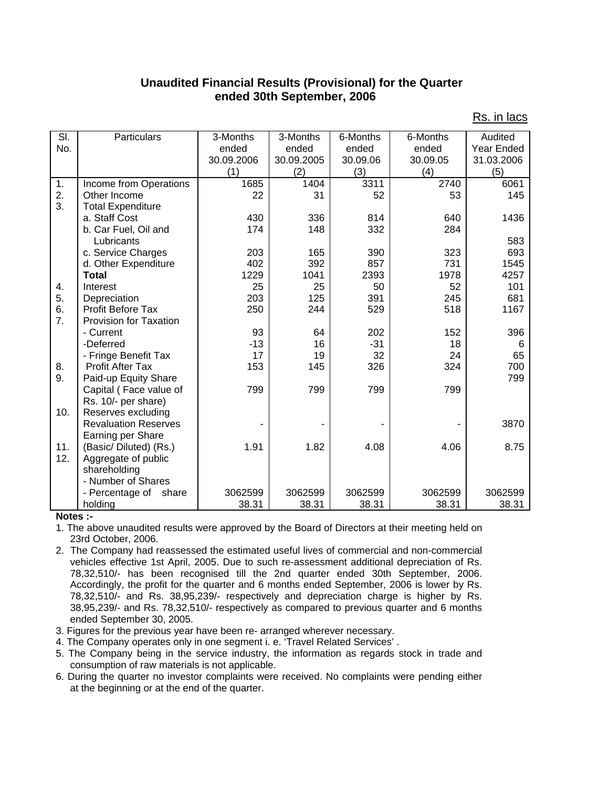## **Unaudited Financial Results (Provisional) for the Quarter ended 30th September, 2006**

| SI.                        | Particulars                   | 3-Months   | 3-Months   | 6-Months | 6-Months | Audited           |
|----------------------------|-------------------------------|------------|------------|----------|----------|-------------------|
| No.                        |                               | ended      | ended      | ended    | ended    | <b>Year Ended</b> |
|                            |                               | 30.09.2006 | 30.09.2005 | 30.09.06 | 30.09.05 | 31.03.2006        |
|                            |                               | (1)        | (2)        | (3)      | (4)      | (5)               |
| 1.                         | Income from Operations        | 1685       | 1404       | 3311     | 2740     | 6061              |
| 2.                         | Other Income                  | 22         | 31         | 52       | 53       | 145               |
| 3.                         | <b>Total Expenditure</b>      |            |            |          |          |                   |
|                            | a. Staff Cost                 | 430        | 336        | 814      | 640      | 1436              |
|                            | b. Car Fuel, Oil and          | 174        | 148        | 332      | 284      |                   |
|                            | Lubricants                    |            |            |          |          | 583               |
|                            | c. Service Charges            | 203        | 165        | 390      | 323      | 693               |
|                            | d. Other Expenditure          | 402        | 392        | 857      | 731      | 1545              |
|                            | <b>Total</b>                  | 1229       | 1041       | 2393     | 1978     | 4257              |
| 4.                         | Interest                      | 25         | 25         | 50       | 52       | 101               |
| 5.                         | Depreciation                  | 203        | 125        | 391      | 245      | 681               |
| 6.                         | <b>Profit Before Tax</b>      | 250        | 244        | 529      | 518      | 1167              |
| 7.                         | <b>Provision for Taxation</b> |            |            |          |          |                   |
|                            | - Current                     | 93         | 64         | 202      | 152      | 396               |
|                            | -Deferred                     | $-13$      | 16         | $-31$    | 18       | 6                 |
|                            | - Fringe Benefit Tax          | 17         | 19         | 32       | 24       | 65                |
| 8.                         | <b>Profit After Tax</b>       | 153        | 145        | 326      | 324      | 700               |
| 9.                         | Paid-up Equity Share          |            |            |          |          | 799               |
|                            | Capital (Face value of        | 799        | 799        | 799      | 799      |                   |
|                            | Rs. 10/- per share)           |            |            |          |          |                   |
| 10.                        | Reserves excluding            |            |            |          |          |                   |
|                            | <b>Revaluation Reserves</b>   |            |            |          |          | 3870              |
|                            | Earning per Share             |            |            |          |          |                   |
| 11.                        | (Basic/Diluted) (Rs.)         | 1.91       | 1.82       | 4.08     | 4.06     | 8.75              |
| 12.                        | Aggregate of public           |            |            |          |          |                   |
|                            | shareholding                  |            |            |          |          |                   |
|                            | - Number of Shares            |            |            |          |          |                   |
|                            | - Percentage of<br>share      | 3062599    | 3062599    | 3062599  | 3062599  | 3062599           |
| $\mathbf{A}$ is a set of a | holding                       | 38.31      | 38.31      | 38.31    | 38.31    | 38.31             |

Rs. in lacs

## **Notes :-**

1. The above unaudited results were approved by the Board of Directors at their meeting held on 23rd October, 2006.

- 2. The Company had reassessed the estimated useful lives of commercial and non-commercial vehicles effective 1st April, 2005. Due to such re-assessment additional depreciation of Rs. 78,32,510/- has been recognised till the 2nd quarter ended 30th September, 2006. Accordingly, the profit for the quarter and 6 months ended September, 2006 is lower by Rs. 78,32,510/- and Rs. 38,95,239/- respectively and depreciation charge is higher by Rs. 38,95,239/- and Rs. 78,32,510/- respectively as compared to previous quarter and 6 months ended September 30, 2005.
- 3. Figures for the previous year have been re- arranged wherever necessary.
- 4. The Company operates only in one segment i. e. 'Travel Related Services' .
- 5. The Company being in the service industry, the information as regards stock in trade and consumption of raw materials is not applicable.
- 6. During the quarter no investor complaints were received. No complaints were pending either at the beginning or at the end of the quarter.